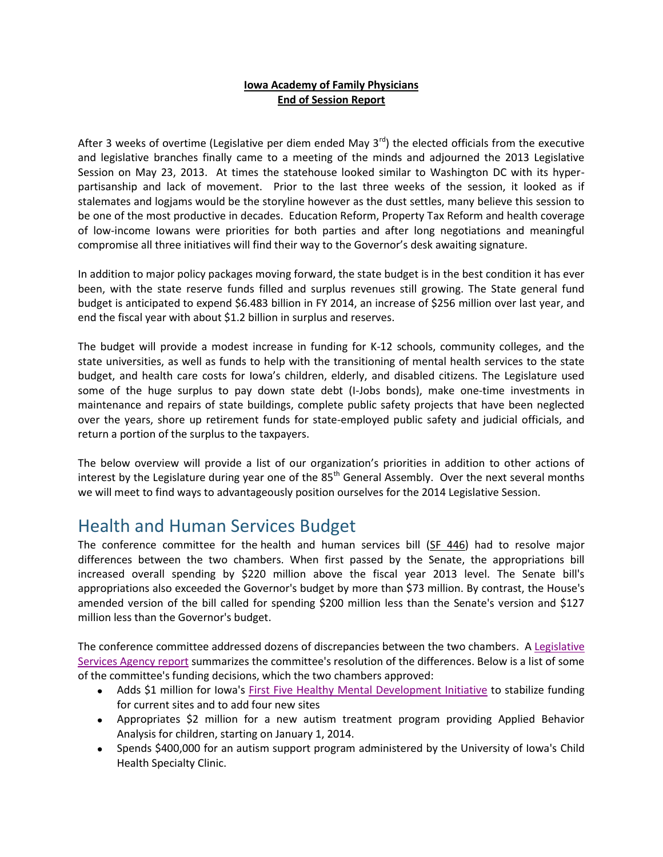#### **Iowa Academy of Family Physicians End of Session Report**

After 3 weeks of overtime (Legislative per diem ended May  $3^{rd}$ ) the elected officials from the executive and legislative branches finally came to a meeting of the minds and adjourned the 2013 Legislative Session on May 23, 2013. At times the statehouse looked similar to Washington DC with its hyperpartisanship and lack of movement. Prior to the last three weeks of the session, it looked as if stalemates and logjams would be the storyline however as the dust settles, many believe this session to be one of the most productive in decades. Education Reform, Property Tax Reform and health coverage of low-income Iowans were priorities for both parties and after long negotiations and meaningful compromise all three initiatives will find their way to the Governor's desk awaiting signature.

In addition to major policy packages moving forward, the state budget is in the best condition it has ever been, with the state reserve funds filled and surplus revenues still growing. The State general fund budget is anticipated to expend \$6.483 billion in FY 2014, an increase of \$256 million over last year, and end the fiscal year with about \$1.2 billion in surplus and reserves.

The budget will provide a modest increase in funding for K‐12 schools, community colleges, and the state universities, as well as funds to help with the transitioning of mental health services to the state budget, and health care costs for Iowa's children, elderly, and disabled citizens. The Legislature used some of the huge surplus to pay down state debt (I-Jobs bonds), make one-time investments in maintenance and repairs of state buildings, complete public safety projects that have been neglected over the years, shore up retirement funds for state-employed public safety and judicial officials, and return a portion of the surplus to the taxpayers.

The below overview will provide a list of our organization's priorities in addition to other actions of interest by the Legislature during year one of the  $85<sup>th</sup>$  General Assembly. Over the next several months we will meet to find ways to advantageously position ourselves for the 2014 Legislative Session.

#### Health and Human Services Budget

The conference committee for the health and human services bill [\(SF 446\)](http://r20.rs6.net/tn.jsp?e=001SscnPt9U6A6rKAzRFx8oYsPGk2YLgdY2uhlsrlKk6vPI2yMTUZnrQDP7ghao4j5sGMLHifw2Mi4ajWRGlChTAqbKpbGUC5Dg_DwiWnvdQnZ7qpEfsXQ57MLngbh9_Fk4BNJMgAdsN5ufJ3Yr4fErXhnhO9Q8M3S4nd3h1Vb7M9NL8OLc9TNtrbIp27znADsEzARXrjydlYtNiJtun1RQJzDGvWU-0drD2gXQb4D89zs_IpBIpN939rIl5Ij-AsNUleicquh4U2Y=) had to resolve major differences between the two chambers. When first passed by the Senate, the appropriations bill increased overall spending by \$220 million above the fiscal year 2013 level. The Senate bill's appropriations also exceeded the Governor's budget by more than \$73 million. By contrast, the House's amended version of the bill called for spending \$200 million less than the Senate's version and \$127 million less than the Governor's budget.

The conference committee addressed dozens of discrepancies between the two chambers. [A Legislative](http://r20.rs6.net/tn.jsp?e=001SscnPt9U6A6V27YrHT75e8xUJEWOOb_GASvVk5RaPreYXTKho5DEyDJumFRMiEEMgmEpJXi3SJn33Lqfus5XhVCXUwdKwHBhDcodRUN0YfdcdNZiS4yOBNGMgTHpfJds5H1kKAxpNO3-UF1mvmqDawVwnMBsXifjAlNPjYslLX8=)  [Services Agency report](http://r20.rs6.net/tn.jsp?e=001SscnPt9U6A6V27YrHT75e8xUJEWOOb_GASvVk5RaPreYXTKho5DEyDJumFRMiEEMgmEpJXi3SJn33Lqfus5XhVCXUwdKwHBhDcodRUN0YfdcdNZiS4yOBNGMgTHpfJds5H1kKAxpNO3-UF1mvmqDawVwnMBsXifjAlNPjYslLX8=) summarizes the committee's resolution of the differences. Below is a list of some of the committee's funding decisions, which the two chambers approved:

- Adds \$1 million for Iowa's [First Five Healthy Mental Development Initiative](http://r20.rs6.net/tn.jsp?e=001SscnPt9U6A5h1EYaxZfk3A-hlJUdhxxkC1I7aLKSi_XmTAV2d7ja7BaoagvIs1FYpptu1rFzrD3NgGQJI_E9zrDGIhJqXe_RImbvy-mMXwSxrq1a44eghmz3zN9IjIlBuR9_nOC53qI=) to stabilize funding for current sites and to add four new sites
- Appropriates \$2 million for a new autism treatment program providing Applied Behavior Analysis for children, starting on January 1, 2014.
- Spends \$400,000 for an autism support program administered by the University of Iowa's Child Health Specialty Clinic.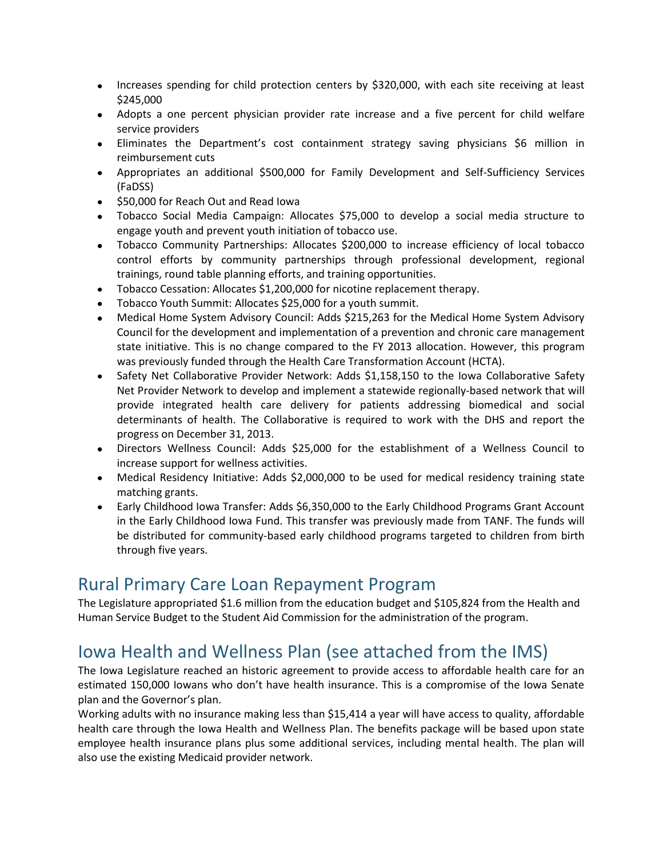- Increases spending for child protection centers by \$320,000, with each site receiving at least \$245,000
- Adopts a one percent physician provider rate increase and a five percent for child welfare service providers
- Eliminates the Department's cost containment strategy saving physicians \$6 million in reimbursement cuts
- Appropriates an additional \$500,000 for Family Development and Self-Sufficiency Services (FaDSS)
- $\bullet$  \$50,000 for Reach Out and Read Iowa
- Tobacco Social Media Campaign: Allocates \$75,000 to develop a social media structure to engage youth and prevent youth initiation of tobacco use.
- Tobacco Community Partnerships: Allocates \$200,000 to increase efficiency of local tobacco control efforts by community partnerships through professional development, regional trainings, round table planning efforts, and training opportunities.
- Tobacco Cessation: Allocates \$1,200,000 for nicotine replacement therapy.
- Tobacco Youth Summit: Allocates \$25,000 for a youth summit.
- Medical Home System Advisory Council: Adds \$215,263 for the Medical Home System Advisory Council for the development and implementation of a prevention and chronic care management state initiative. This is no change compared to the FY 2013 allocation. However, this program was previously funded through the Health Care Transformation Account (HCTA).
- Safety Net Collaborative Provider Network: Adds \$1,158,150 to the Iowa Collaborative Safety Net Provider Network to develop and implement a statewide regionally-based network that will provide integrated health care delivery for patients addressing biomedical and social determinants of health. The Collaborative is required to work with the DHS and report the progress on December 31, 2013.
- Directors Wellness Council: Adds \$25,000 for the establishment of a Wellness Council to increase support for wellness activities.
- Medical Residency Initiative: Adds \$2,000,000 to be used for medical residency training state matching grants.
- Early Childhood Iowa Transfer: Adds \$6,350,000 to the Early Childhood Programs Grant Account in the Early Childhood Iowa Fund. This transfer was previously made from TANF. The funds will be distributed for community-based early childhood programs targeted to children from birth through five years.

#### Rural Primary Care Loan Repayment Program

The Legislature appropriated \$1.6 million from the education budget and \$105,824 from the Health and Human Service Budget to the Student Aid Commission for the administration of the program.

# Iowa Health and Wellness Plan (see attached from the IMS)

The Iowa Legislature reached an historic agreement to provide access to affordable health care for an estimated 150,000 Iowans who don't have health insurance. This is a compromise of the Iowa Senate plan and the Governor's plan.

Working adults with no insurance making less than \$15,414 a year will have access to quality, affordable health care through the Iowa Health and Wellness Plan. The benefits package will be based upon state employee health insurance plans plus some additional services, including mental health. The plan will also use the existing Medicaid provider network.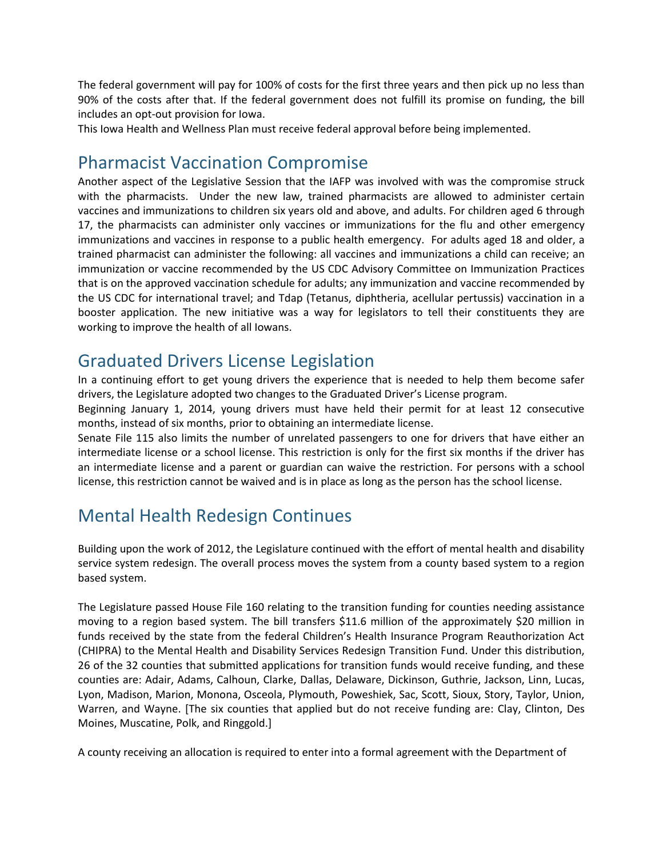The federal government will pay for 100% of costs for the first three years and then pick up no less than 90% of the costs after that. If the federal government does not fulfill its promise on funding, the bill includes an opt‐out provision for Iowa.

This Iowa Health and Wellness Plan must receive federal approval before being implemented.

# Pharmacist Vaccination Compromise

Another aspect of the Legislative Session that the IAFP was involved with was the compromise struck with the pharmacists. Under the new law, trained pharmacists are allowed to administer certain vaccines and immunizations to children six years old and above, and adults. For children aged 6 through 17, the pharmacists can administer only vaccines or immunizations for the flu and other emergency immunizations and vaccines in response to a public health emergency. For adults aged 18 and older, a trained pharmacist can administer the following: all vaccines and immunizations a child can receive; an immunization or vaccine recommended by the US CDC Advisory Committee on Immunization Practices that is on the approved vaccination schedule for adults; any immunization and vaccine recommended by the US CDC for international travel; and Tdap (Tetanus, diphtheria, acellular pertussis) vaccination in a booster application. The new initiative was a way for legislators to tell their constituents they are working to improve the health of all Iowans.

#### Graduated Drivers License Legislation

In a continuing effort to get young drivers the experience that is needed to help them become safer drivers, the Legislature adopted two changes to the Graduated Driver's License program.

Beginning January 1, 2014, young drivers must have held their permit for at least 12 consecutive months, instead of six months, prior to obtaining an intermediate license.

Senate File 115 also limits the number of unrelated passengers to one for drivers that have either an intermediate license or a school license. This restriction is only for the first six months if the driver has an intermediate license and a parent or guardian can waive the restriction. For persons with a school license, this restriction cannot be waived and is in place as long as the person has the school license.

# Mental Health Redesign Continues

Building upon the work of 2012, the Legislature continued with the effort of mental health and disability service system redesign. The overall process moves the system from a county based system to a region based system.

The Legislature passed House File 160 relating to the transition funding for counties needing assistance moving to a region based system. The bill transfers \$11.6 million of the approximately \$20 million in funds received by the state from the federal Children's Health Insurance Program Reauthorization Act (CHIPRA) to the Mental Health and Disability Services Redesign Transition Fund. Under this distribution, 26 of the 32 counties that submitted applications for transition funds would receive funding, and these counties are: Adair, Adams, Calhoun, Clarke, Dallas, Delaware, Dickinson, Guthrie, Jackson, Linn, Lucas, Lyon, Madison, Marion, Monona, Osceola, Plymouth, Poweshiek, Sac, Scott, Sioux, Story, Taylor, Union, Warren, and Wayne. [The six counties that applied but do not receive funding are: Clay, Clinton, Des Moines, Muscatine, Polk, and Ringgold.]

A county receiving an allocation is required to enter into a formal agreement with the Department of